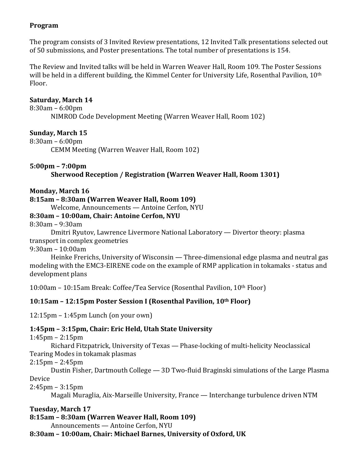## **Program**

The program consists of 3 Invited Review presentations, 12 Invited Talk presentations selected out of 50 submissions, and Poster presentations. The total number of presentations is 154.

The Review and Invited talks will be held in Warren Weaver Hall, Room 109. The Poster Sessions will be held in a different building, the Kimmel Center for University Life, Rosenthal Pavilion, 10<sup>th</sup> Floor.

## **Saturday, March 14**

 $8:30$ am –  $6:00$ pm NIMROD Code Development Meeting (Warren Weaver Hall, Room 102)

## **Sunday, March 15**

 $8:30$ am –  $6:00$ pm

CEMM Meeting (Warren Weaver Hall, Room 102)

## **5:00pm – 7:00pm**

Sherwood Reception / Registration (Warren Weaver Hall, Room 1301)

## **Monday, March 16**

### **8:15am'–'8:30am'(Warren'Weaver'Hall,'Room'109)**

Welcome, Announcements — Antoine Cerfon, NYU

## **8:30am – 10:00am,'Chair:'Antoine'Cerfon,'NYU**

 $8:30$ am –  $9:30$ am

Dmitri Ryutov, Lawrence Livermore National Laboratory — Divertor theory: plasma transport in complex geometries

 $9:30$ am – 10:00am

Heinke Frerichs, University of Wisconsin — Three-dimensional edge plasma and neutral gas modeling with the EMC3-EIRENE code on the example of RMP application in tokamaks - status and development plans

10:00am – 10:15am Break: Coffee/Tea Service (Rosenthal Pavilion,  $10<sup>th</sup>$  Floor)

## **10:15am - 12:15pm Poster Session I (Rosenthal Pavilion, 10th Floor)**

 $12:15$ pm – 1:45pm Lunch (on your own)

## **1:45pm – 3:15pm,'Chair:'Eric'Held,'Utah'State'University**

 $1:45$ pm –  $2:15$ pm

Richard Fitzpatrick, University of Texas — Phase-locking of multi-helicity Neoclassical Tearing Modes in tokamak plasmas

2:15pm – 2:45pm

Dustin Fisher, Dartmouth College — 3D Two-fluid Braginski simulations of the Large Plasma Device

2:45pm – 3:15pm

Magali Muraglia, Aix-Marseille University, France — Interchange turbulence driven NTM

# **Tuesday, March 17**

**8:15am'–'8:30am'(Warren'Weaver'Hall,'Room'109)**

Announcements — Antoine Cerfon, NYU

**8:30am – 10:00am,'Chair:'Michael'Barnes,'University'of'Oxford,'UK**